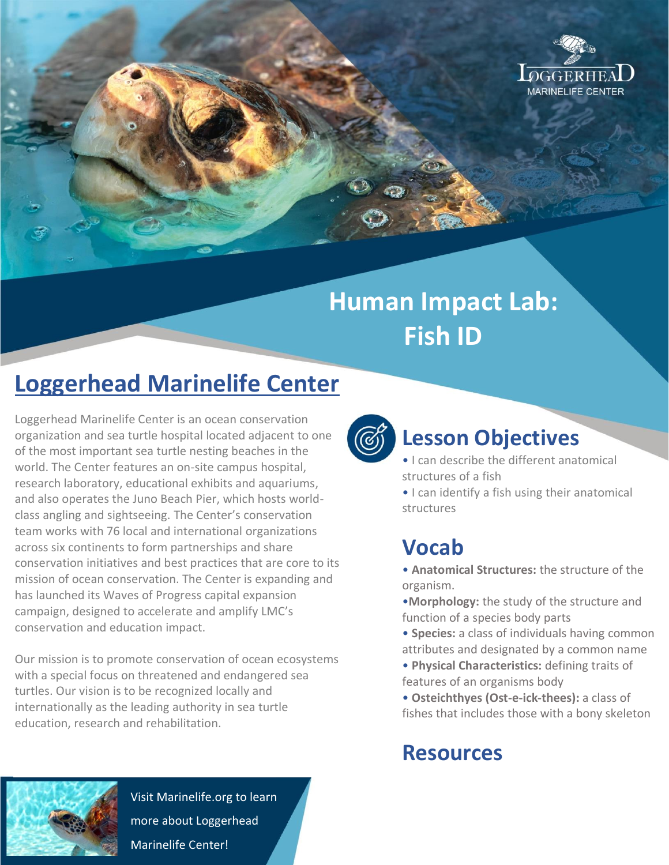

# **Human Impact Lab: Fish ID**

## **Loggerhead Marinelife Center**

Loggerhead Marinelife Center is an ocean conservation organization and sea turtle hospital located adjacent to one of the most important sea turtle nesting beaches in the world. The Center features an on-site campus hospital, research laboratory, educational exhibits and aquariums, and also operates the Juno Beach Pier, which hosts worldclass angling and sightseeing. The Center's conservation team works with 76 local and international organizations across six continents to form partnerships and share conservation initiatives and best practices that are core to its mission of ocean conservation. The Center is expanding and has launched its Waves of Progress capital expansion campaign, designed to accelerate and amplify LMC's conservation and education impact.

Our mission is to promote conservation of ocean ecosystems with a special focus on threatened and endangered sea turtles. Our vision is to be recognized locally and internationally as the leading authority in sea turtle education, research and rehabilitation.



Visit Marinelife.org to learn more about Loggerhead Marinelife Center!



#### **Lesson Objectives**

- I can describe the different anatomical structures of a fish
- I can identify a fish using their anatomical structures

#### **Vocab**

- **Anatomical Structures:** the structure of the organism.
- •**Morphology:** the study of the structure and function of a species body parts
- **Species:** a class of individuals having common attributes and designated by a common name
- **Physical Characteristics:** defining traits of features of an organisms body
- **Osteichthyes (Ost-e-ick-thees):** a class of fishes that includes those with a bony skeleton

### **Resources**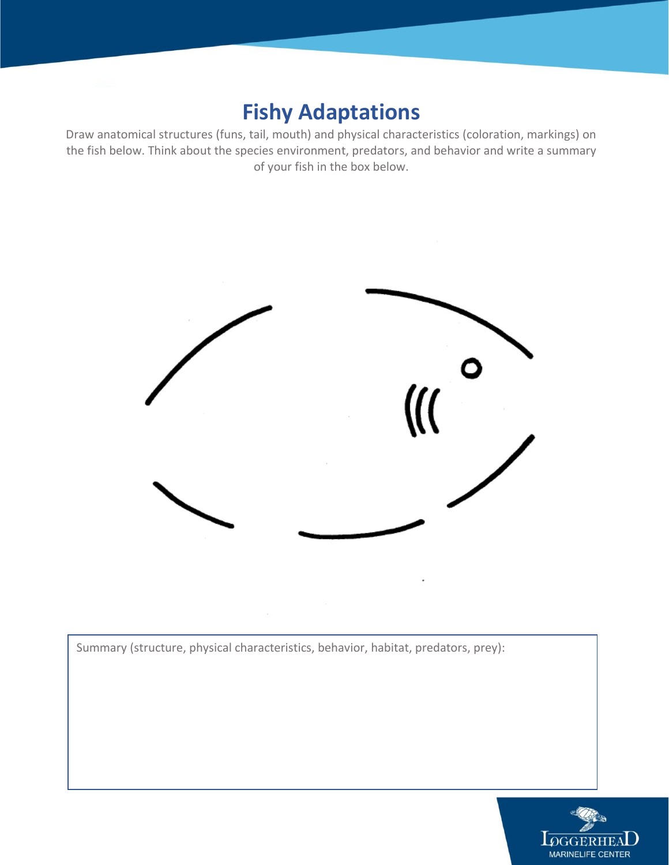#### **Fishy Adaptations**

Draw anatomical structures (funs, tail, mouth) and physical characteristics (coloration, markings) on the fish below. Think about the species environment, predators, and behavior and write a summary of your fish in the box below.



Summary (structure, physical characteristics, behavior, habitat, predators, prey):

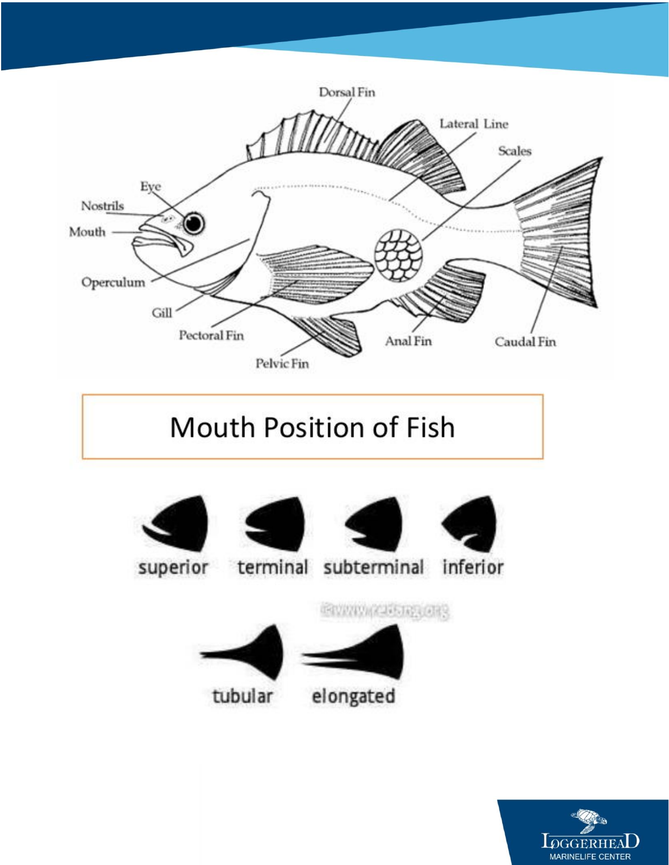